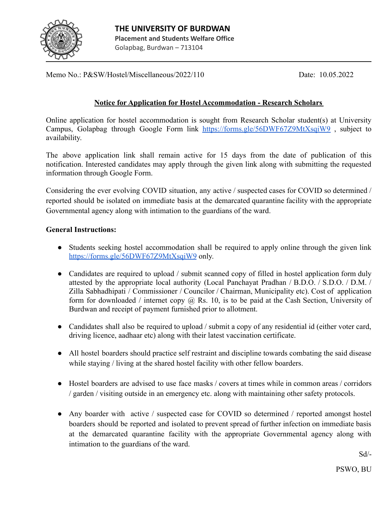

Memo No.: P&SW/Hostel/Miscellaneous/2022/110 Date: 10.05.2022

## **Notice for Application for Hostel Accommodation - Research Scholars**

Online application for hostel accommodation is sought from Research Scholar student(s) at University Campus, Golapbag through Google Form link <https://forms.gle/56DWF67Z9MtXsqiW9> , subject to availability.

The above application link shall remain active for 15 days from the date of publication of this notification. Interested candidates may apply through the given link along with submitting the requested information through Google Form.

Considering the ever evolving COVID situation, any active / suspected cases for COVID so determined / reported should be isolated on immediate basis at the demarcated quarantine facility with the appropriate Governmental agency along with intimation to the guardians of the ward.

## **General Instructions:**

- Students seeking hostel accommodation shall be required to apply online through the given link <https://forms.gle/56DWF67Z9MtXsqiW9> only.
- Candidates are required to upload / submit scanned copy of filled in hostel application form duly attested by the appropriate local authority (Local Panchayat Pradhan / B.D.O. / S.D.O. / D.M. / Zilla Sabhadhipati / Commissioner / Councilor / Chairman, Municipality etc). Cost of application form for downloaded / internet copy  $(a)$  Rs. 10, is to be paid at the Cash Section, University of Burdwan and receipt of payment furnished prior to allotment.
- Candidates shall also be required to upload / submit a copy of any residential id (either voter card, driving licence, aadhaar etc) along with their latest vaccination certificate.
- All hostel boarders should practice self restraint and discipline towards combating the said disease while staying / living at the shared hostel facility with other fellow boarders.
- Hostel boarders are advised to use face masks / covers at times while in common areas / corridors / garden / visiting outside in an emergency etc. along with maintaining other safety protocols.
- Any boarder with active / suspected case for COVID so determined / reported amongst hostel boarders should be reported and isolated to prevent spread of further infection on immediate basis at the demarcated quarantine facility with the appropriate Governmental agency along with intimation to the guardians of the ward.

Sd/-